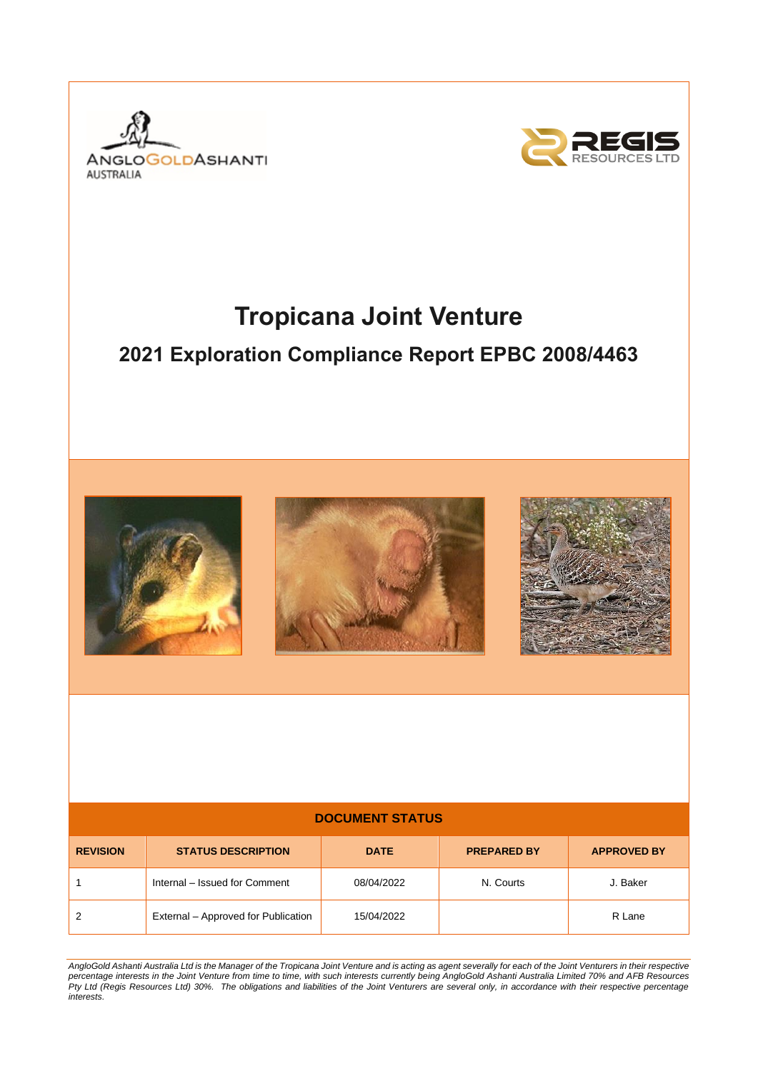



# **Tropicana Joint Venture**

# **2021 Exploration Compliance Report EPBC 2008/4463**







# **DOCUMENT STATUS REVISION STATUS DESCRIPTION DATE PREPARED BY APPROVED BY** 1 Internal – Issued for Comment 08/04/2022 N. Courts J. Baker 2 **External – Approved for Publication 15/04/2022** Proved 15/04/2022 R Lane

*AngloGold Ashanti Australia Ltd is the Manager of the Tropicana Joint Venture and is acting as agent severally for each of the Joint Venturers in their respective percentage interests in the Joint Venture from time to time, with such interests currently being AngloGold Ashanti Australia Limited 70% and AFB Resources Pty Ltd (Regis Resources Ltd) 30%. The obligations and liabilities of the Joint Venturers are several only, in accordance with their respective percentage interests.*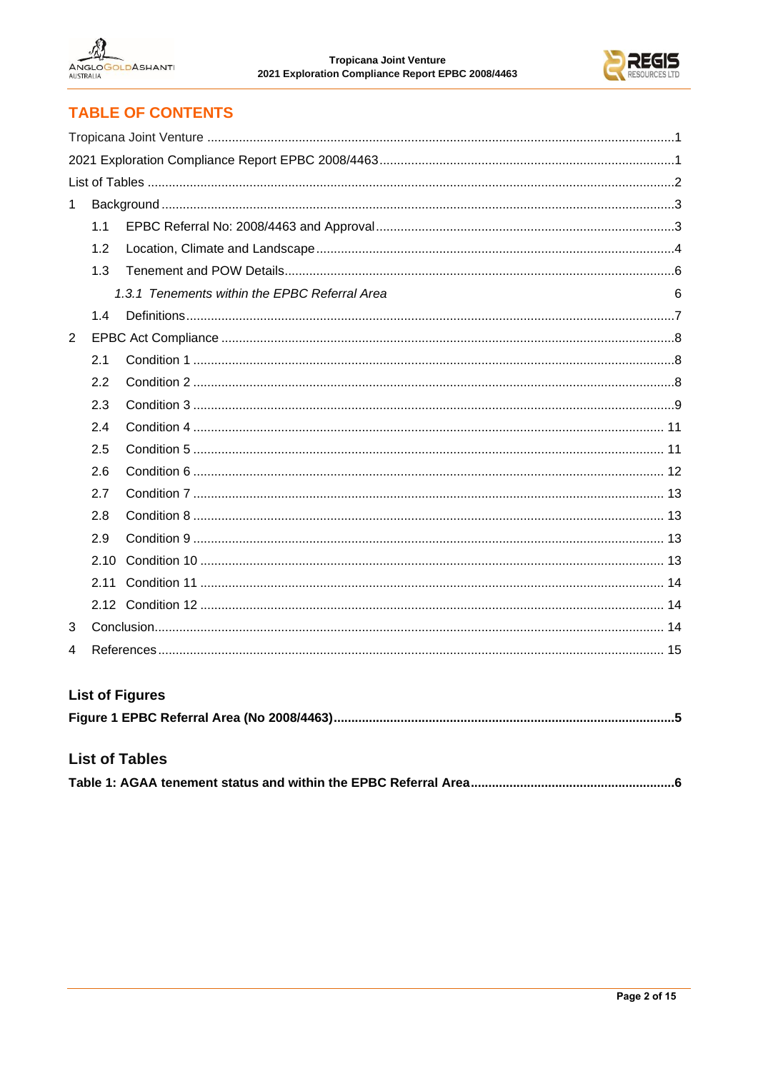



# **TABLE OF CONTENTS**

| 1 |      |                                               |   |  |  |
|---|------|-----------------------------------------------|---|--|--|
|   | 1.1  |                                               |   |  |  |
|   | 1.2  |                                               |   |  |  |
|   | 1.3  |                                               |   |  |  |
|   |      | 1.3.1 Tenements within the EPBC Referral Area | 6 |  |  |
|   | 1.4  |                                               |   |  |  |
| 2 |      |                                               |   |  |  |
|   | 2.1  |                                               |   |  |  |
|   | 2.2  |                                               |   |  |  |
|   | 2.3  |                                               |   |  |  |
|   | 2.4  |                                               |   |  |  |
|   | 2.5  |                                               |   |  |  |
|   | 2.6  |                                               |   |  |  |
|   | 2.7  |                                               |   |  |  |
|   | 2.8  |                                               |   |  |  |
|   | 2.9  |                                               |   |  |  |
|   | 2.10 |                                               |   |  |  |
|   | 2.11 |                                               |   |  |  |
|   |      |                                               |   |  |  |
| 3 |      |                                               |   |  |  |
| 4 |      |                                               |   |  |  |

# **List of Figures**

# **List of Tables**

|--|--|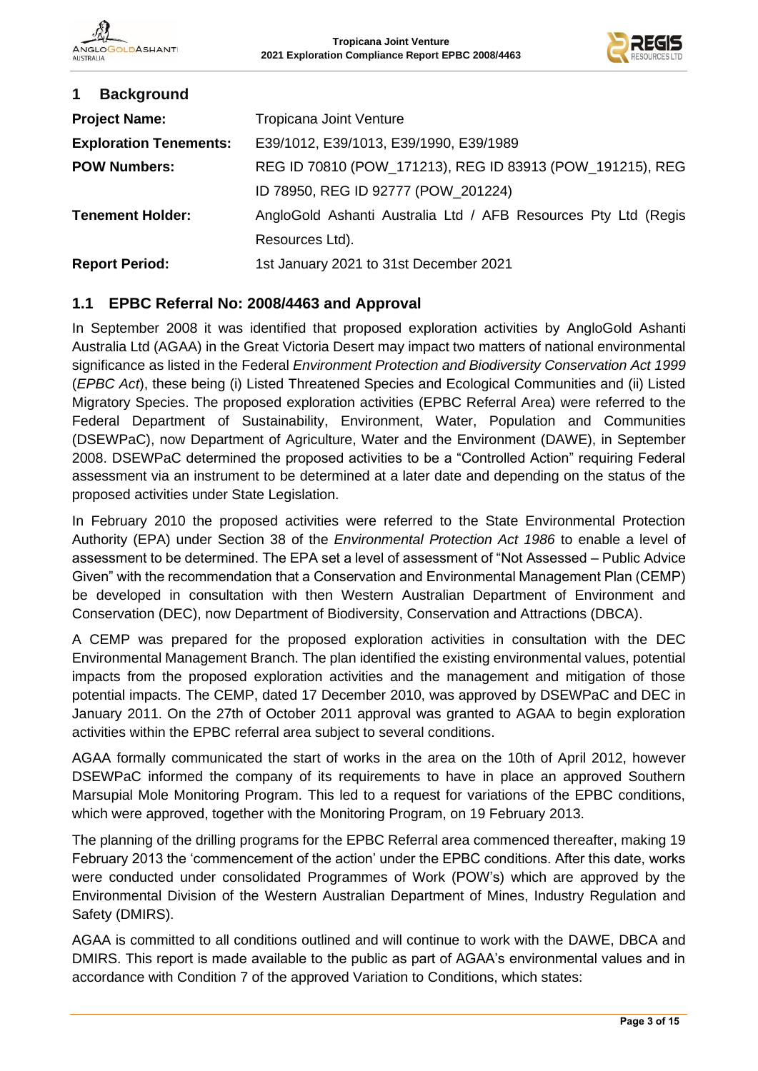

| <b>Background</b><br>$\mathbf 1$ |                                                                |
|----------------------------------|----------------------------------------------------------------|
| <b>Project Name:</b>             | Tropicana Joint Venture                                        |
| <b>Exploration Tenements:</b>    | E39/1012, E39/1013, E39/1990, E39/1989                         |
| <b>POW Numbers:</b>              | REG ID 70810 (POW_171213), REG ID 83913 (POW_191215), REG      |
|                                  | ID 78950, REG ID 92777 (POW_201224)                            |
| <b>Tenement Holder:</b>          | AngloGold Ashanti Australia Ltd / AFB Resources Pty Ltd (Regis |
|                                  | Resources Ltd).                                                |
| <b>Report Period:</b>            | 1st January 2021 to 31st December 2021                         |

#### **1.1 EPBC Referral No: 2008/4463 and Approval**

In September 2008 it was identified that proposed exploration activities by AngloGold Ashanti Australia Ltd (AGAA) in the Great Victoria Desert may impact two matters of national environmental significance as listed in the Federal *Environment Protection and Biodiversity Conservation Act 1999* (*EPBC Act*), these being (i) Listed Threatened Species and Ecological Communities and (ii) Listed Migratory Species. The proposed exploration activities (EPBC Referral Area) were referred to the Federal Department of Sustainability, Environment, Water, Population and Communities (DSEWPaC), now Department of Agriculture, Water and the Environment (DAWE), in September 2008. DSEWPaC determined the proposed activities to be a "Controlled Action" requiring Federal assessment via an instrument to be determined at a later date and depending on the status of the proposed activities under State Legislation.

In February 2010 the proposed activities were referred to the State Environmental Protection Authority (EPA) under Section 38 of the *Environmental Protection Act 1986* to enable a level of assessment to be determined. The EPA set a level of assessment of "Not Assessed – Public Advice Given" with the recommendation that a Conservation and Environmental Management Plan (CEMP) be developed in consultation with then Western Australian Department of Environment and Conservation (DEC), now Department of Biodiversity, Conservation and Attractions (DBCA).

A CEMP was prepared for the proposed exploration activities in consultation with the DEC Environmental Management Branch. The plan identified the existing environmental values, potential impacts from the proposed exploration activities and the management and mitigation of those potential impacts. The CEMP, dated 17 December 2010, was approved by DSEWPaC and DEC in January 2011. On the 27th of October 2011 approval was granted to AGAA to begin exploration activities within the EPBC referral area subject to several conditions.

AGAA formally communicated the start of works in the area on the 10th of April 2012, however DSEWPaC informed the company of its requirements to have in place an approved Southern Marsupial Mole Monitoring Program. This led to a request for variations of the EPBC conditions, which were approved, together with the Monitoring Program, on 19 February 2013.

The planning of the drilling programs for the EPBC Referral area commenced thereafter, making 19 February 2013 the 'commencement of the action' under the EPBC conditions. After this date, works were conducted under consolidated Programmes of Work (POW's) which are approved by the Environmental Division of the Western Australian Department of Mines, Industry Regulation and Safety (DMIRS).

AGAA is committed to all conditions outlined and will continue to work with the DAWE, DBCA and DMIRS. This report is made available to the public as part of AGAA's environmental values and in accordance with Condition 7 of the approved Variation to Conditions, which states: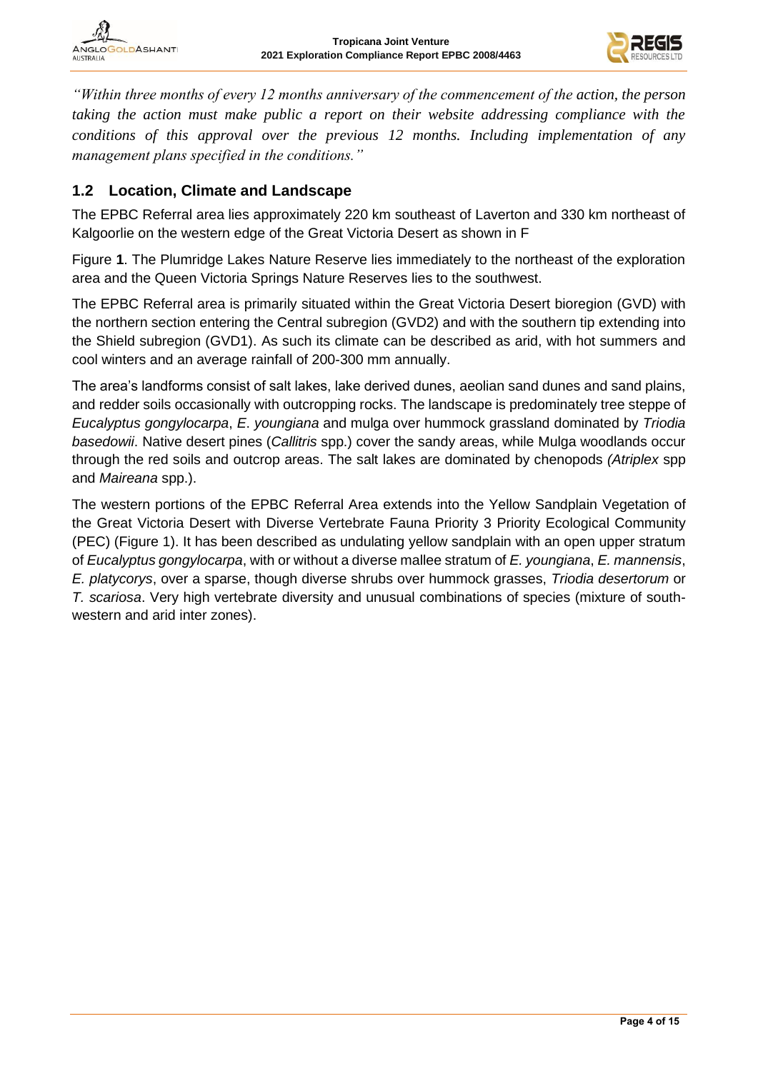

NGLO **OLDASHANT ALISTRALIA** 

*"Within three months of every 12 months anniversary of the commencement of the action, the person taking the action must make public a report on their website addressing compliance with the conditions of this approval over the previous 12 months. Including implementation of any management plans specified in the conditions."*

#### **1.2 Location, Climate and Landscape**

The EPBC Referral area lies approximately 220 km southeast of Laverton and 330 km northeast of Kalgoorlie on the western edge of the Great Victoria Desert as shown in [F](#page-4-0)

[Figure](#page-4-0) **1**. The Plumridge Lakes Nature Reserve lies immediately to the northeast of the exploration area and the Queen Victoria Springs Nature Reserves lies to the southwest.

The EPBC Referral area is primarily situated within the Great Victoria Desert bioregion (GVD) with the northern section entering the Central subregion (GVD2) and with the southern tip extending into the Shield subregion (GVD1). As such its climate can be described as arid, with hot summers and cool winters and an average rainfall of 200-300 mm annually.

The area's landforms consist of salt lakes, lake derived dunes, aeolian sand dunes and sand plains, and redder soils occasionally with outcropping rocks. The landscape is predominately tree steppe of *Eucalyptus gongylocarpa*, *E*. *youngiana* and mulga over hummock grassland dominated by *Triodia basedowii*. Native desert pines (*Callitris* spp.) cover the sandy areas, while Mulga woodlands occur through the red soils and outcrop areas. The salt lakes are dominated by chenopods *(Atriplex* spp and *Maireana* spp.).

The western portions of the EPBC Referral Area extends into the Yellow Sandplain Vegetation of the Great Victoria Desert with Diverse Vertebrate Fauna Priority 3 Priority Ecological Community (PEC) (Figure 1). It has been described as undulating yellow sandplain with an open upper stratum of *Eucalyptus gongylocarpa*, with or without a diverse mallee stratum of *E. youngiana*, *E. mannensis*, *E. platycorys*, over a sparse, though diverse shrubs over hummock grasses, *Triodia desertorum* or *T. scariosa*. Very high vertebrate diversity and unusual combinations of species (mixture of southwestern and arid inter zones).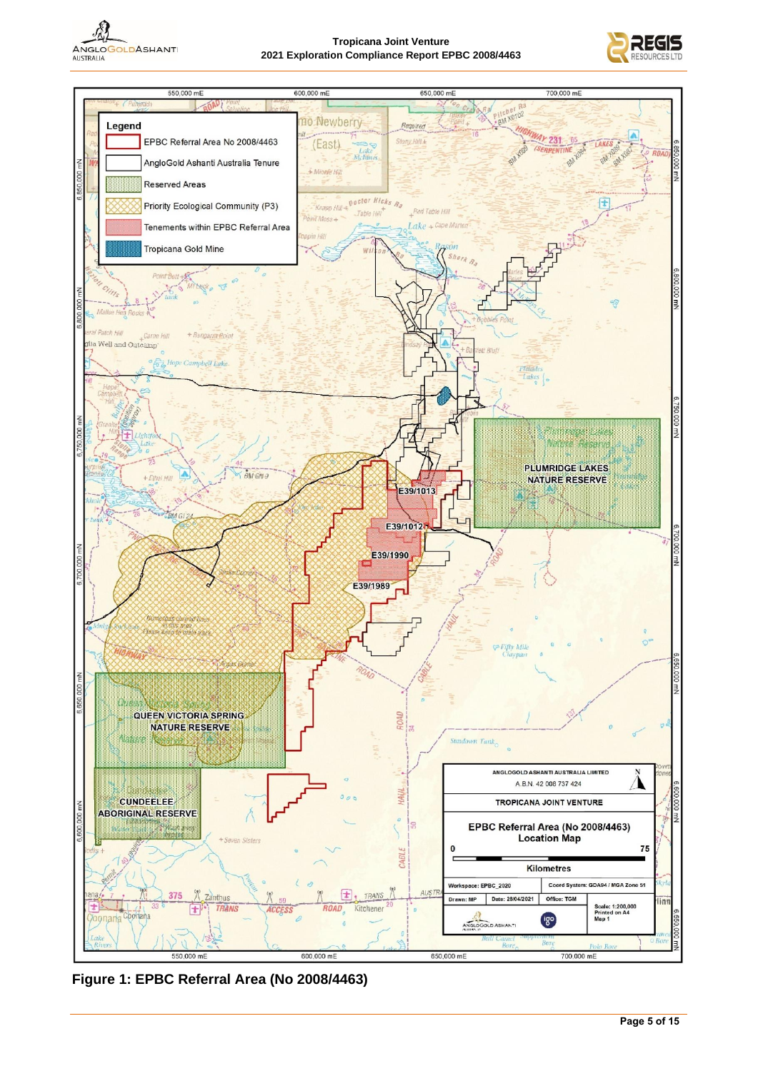

#### **Tropicana Joint Venture 2021 Exploration Compliance Report EPBC 2008/4463**

<span id="page-4-0"></span>



**Figure 1: EPBC Referral Area (No 2008/4463)**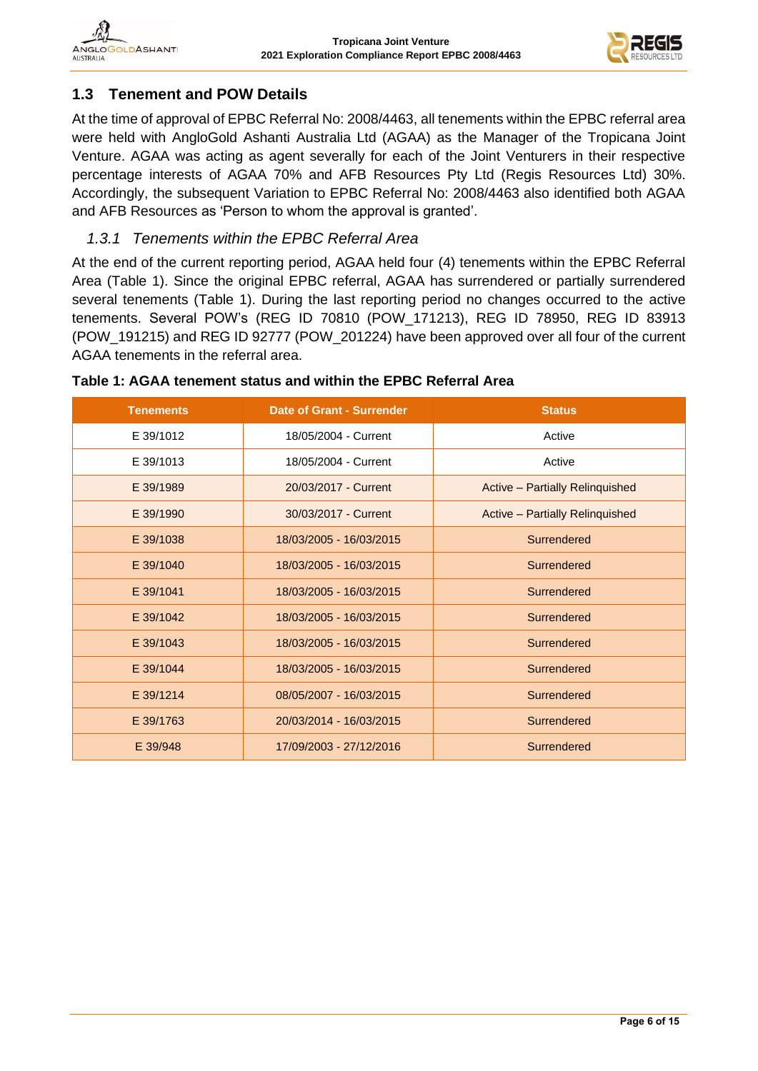

# **1.3 Tenement and POW Details**

At the time of approval of EPBC Referral No: 2008/4463, all tenements within the EPBC referral area were held with AngloGold Ashanti Australia Ltd (AGAA) as the Manager of the Tropicana Joint Venture. AGAA was acting as agent severally for each of the Joint Venturers in their respective percentage interests of AGAA 70% and AFB Resources Pty Ltd (Regis Resources Ltd) 30%. Accordingly, the subsequent Variation to EPBC Referral No: 2008/4463 also identified both AGAA and AFB Resources as 'Person to whom the approval is granted'.

# *1.3.1 Tenements within the EPBC Referral Area*

At the end of the current reporting period, AGAA held four (4) tenements within the EPBC Referral Area (Table 1). Since the original EPBC referral, AGAA has surrendered or partially surrendered several tenements (Table 1). During the last reporting period no changes occurred to the active tenements. Several POW's (REG ID 70810 (POW\_171213), REG ID 78950, REG ID 83913 (POW\_191215) and REG ID 92777 (POW\_201224) have been approved over all four of the current AGAA tenements in the referral area.

| <b>Tenements</b> | <b>Date of Grant - Surrender</b> | <b>Status</b>                   |
|------------------|----------------------------------|---------------------------------|
| E 39/1012        | 18/05/2004 - Current             | Active                          |
| E 39/1013        | 18/05/2004 - Current             | Active                          |
| E 39/1989        | 20/03/2017 - Current             | Active - Partially Relinquished |
| E 39/1990        | 30/03/2017 - Current             | Active - Partially Relinquished |
| E 39/1038        | 18/03/2005 - 16/03/2015          | Surrendered                     |
| E 39/1040        | 18/03/2005 - 16/03/2015          | Surrendered                     |
| E 39/1041        | 18/03/2005 - 16/03/2015          | Surrendered                     |
| E 39/1042        | 18/03/2005 - 16/03/2015          | Surrendered                     |
| E 39/1043        | 18/03/2005 - 16/03/2015          | Surrendered                     |
| E 39/1044        | 18/03/2005 - 16/03/2015          | Surrendered                     |
| E 39/1214        | 08/05/2007 - 16/03/2015          | Surrendered                     |
| E 39/1763        | 20/03/2014 - 16/03/2015          | Surrendered                     |
| E 39/948         | 17/09/2003 - 27/12/2016          | Surrendered                     |

#### <span id="page-5-0"></span>**Table 1: AGAA tenement status and within the EPBC Referral Area**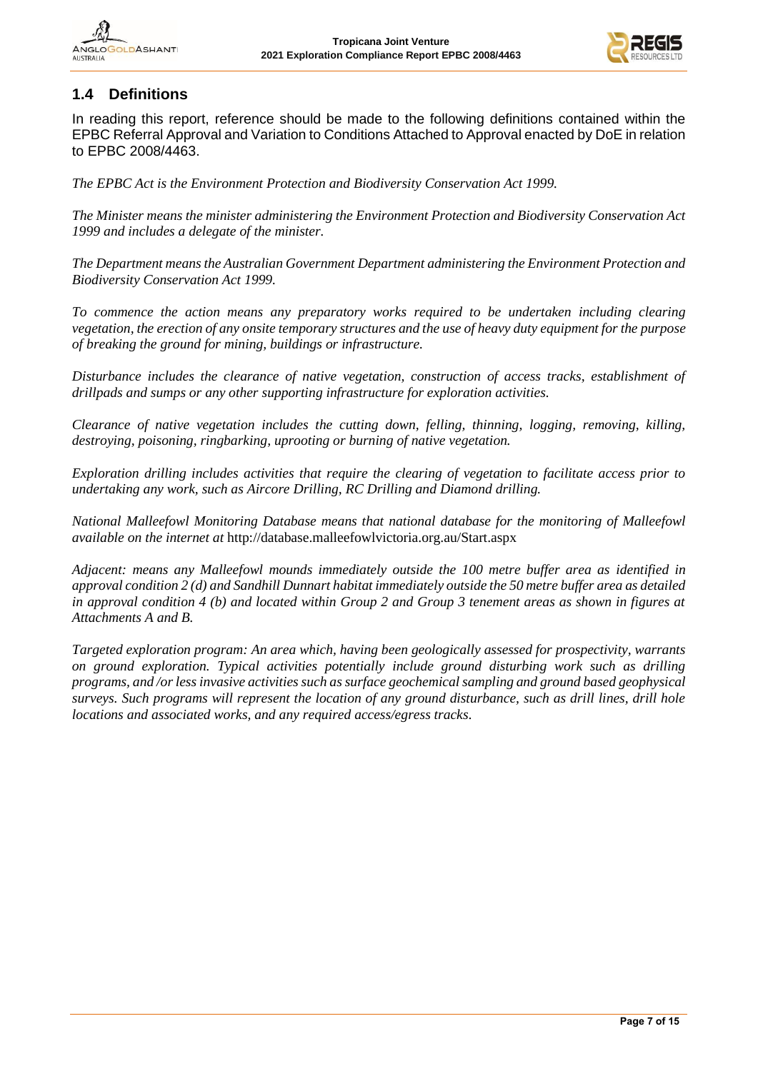

# **1.4 Definitions**

In reading this report, reference should be made to the following definitions contained within the EPBC Referral Approval and Variation to Conditions Attached to Approval enacted by DoE in relation to EPBC 2008/4463.

*The EPBC Act is the Environment Protection and Biodiversity Conservation Act 1999.*

*The Minister means the minister administering the Environment Protection and Biodiversity Conservation Act 1999 and includes a delegate of the minister.*

*The Department means the Australian Government Department administering the Environment Protection and Biodiversity Conservation Act 1999.*

*To commence the action means any preparatory works required to be undertaken including clearing vegetation, the erection of any onsite temporary structures and the use of heavy duty equipment for the purpose of breaking the ground for mining, buildings or infrastructure.*

*Disturbance includes the clearance of native vegetation, construction of access tracks, establishment of drillpads and sumps or any other supporting infrastructure for exploration activities.*

*Clearance of native vegetation includes the cutting down, felling, thinning, logging, removing, killing, destroying, poisoning, ringbarking, uprooting or burning of native vegetation.*

*Exploration drilling includes activities that require the clearing of vegetation to facilitate access prior to undertaking any work, such as Aircore Drilling, RC Drilling and Diamond drilling.*

*National Malleefowl Monitoring Database means that national database for the monitoring of Malleefowl available on the internet at* <http://database.malleefowlvictoria.org.au/Start.aspx>

*Adjacent: means any Malleefowl mounds immediately outside the 100 metre buffer area as identified in approval condition 2 (d) and Sandhill Dunnart habitat immediately outside the 50 metre buffer area as detailed in approval condition 4 (b) and located within Group 2 and Group 3 tenement areas as shown in figures at Attachments A and B.*

*Targeted exploration program: An area which, having been geologically assessed for prospectivity, warrants on ground exploration. Typical activities potentially include ground disturbing work such as drilling programs, and /or less invasive activities such as surface geochemical sampling and ground based geophysical surveys. Such programs will represent the location of any ground disturbance, such as drill lines, drill hole locations and associated works, and any required access/egress tracks.*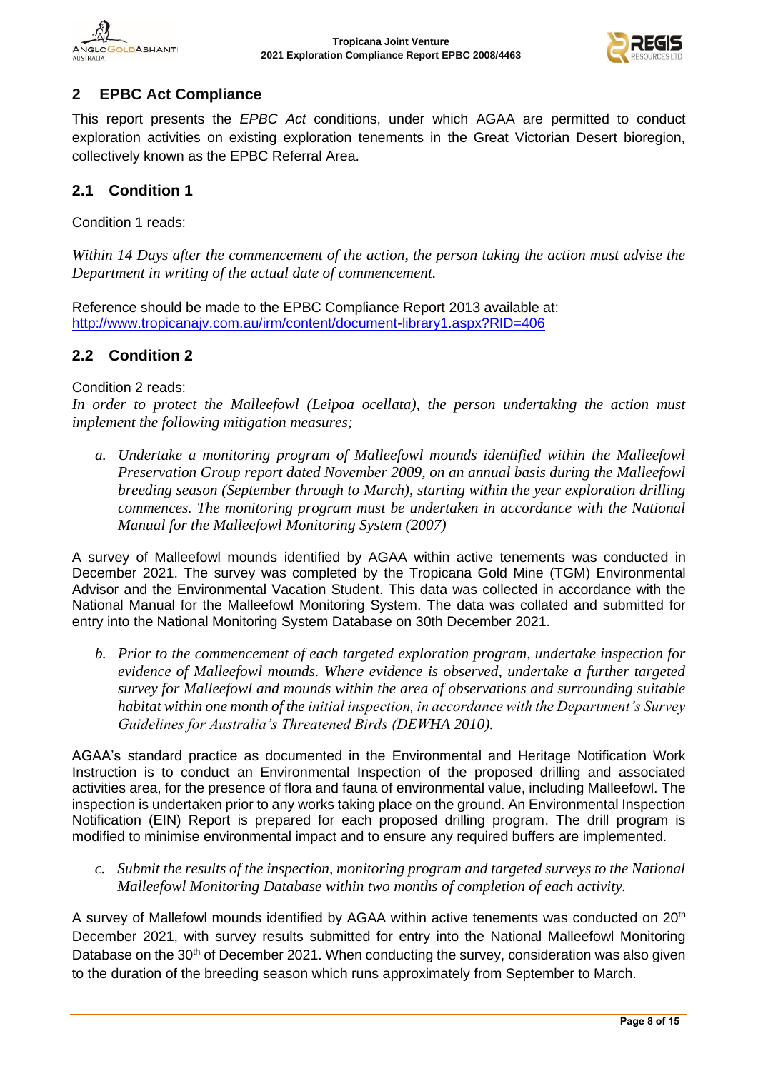

# **2 EPBC Act Compliance**

This report presents the *EPBC Act* conditions, under which AGAA are permitted to conduct exploration activities on existing exploration tenements in the Great Victorian Desert bioregion, collectively known as the EPBC Referral Area.

# **2.1 Condition 1**

Condition 1 reads:

*Within 14 Days after the commencement of the action, the person taking the action must advise the Department in writing of the actual date of commencement.*

Reference should be made to the EPBC Compliance Report 2013 available at: <http://www.tropicanajv.com.au/irm/content/document-library1.aspx?RID=406>

#### **2.2 Condition 2**

Condition 2 reads:

*In order to protect the Malleefowl (Leipoa ocellata), the person undertaking the action must implement the following mitigation measures;*

*a. Undertake a monitoring program of Malleefowl mounds identified within the Malleefowl Preservation Group report dated November 2009, on an annual basis during the Malleefowl breeding season (September through to March), starting within the year exploration drilling commences. The monitoring program must be undertaken in accordance with the National Manual for the Malleefowl Monitoring System (2007)*

A survey of Malleefowl mounds identified by AGAA within active tenements was conducted in December 2021. The survey was completed by the Tropicana Gold Mine (TGM) Environmental Advisor and the Environmental Vacation Student. This data was collected in accordance with the National Manual for the Malleefowl Monitoring System. The data was collated and submitted for entry into the National Monitoring System Database on 30th December 2021.

*b. Prior to the commencement of each targeted exploration program, undertake inspection for evidence of Malleefowl mounds. Where evidence is observed, undertake a further targeted survey for Malleefowl and mounds within the area of observations and surrounding suitable habitat within one month of the initial inspection, in accordance with the Department's Survey Guidelines for Australia's Threatened Birds (DEWHA 2010).*

AGAA's standard practice as documented in the Environmental and Heritage Notification Work Instruction is to conduct an Environmental Inspection of the proposed drilling and associated activities area, for the presence of flora and fauna of environmental value, including Malleefowl. The inspection is undertaken prior to any works taking place on the ground. An Environmental Inspection Notification (EIN) Report is prepared for each proposed drilling program. The drill program is modified to minimise environmental impact and to ensure any required buffers are implemented.

*c. Submit the results of the inspection, monitoring program and targeted surveys to the National Malleefowl Monitoring Database within two months of completion of each activity.* 

A survey of Mallefowl mounds identified by AGAA within active tenements was conducted on 20<sup>th</sup> December 2021, with survey results submitted for entry into the National Malleefowl Monitoring Database on the 30<sup>th</sup> of December 2021. When conducting the survey, consideration was also given to the duration of the breeding season which runs approximately from September to March.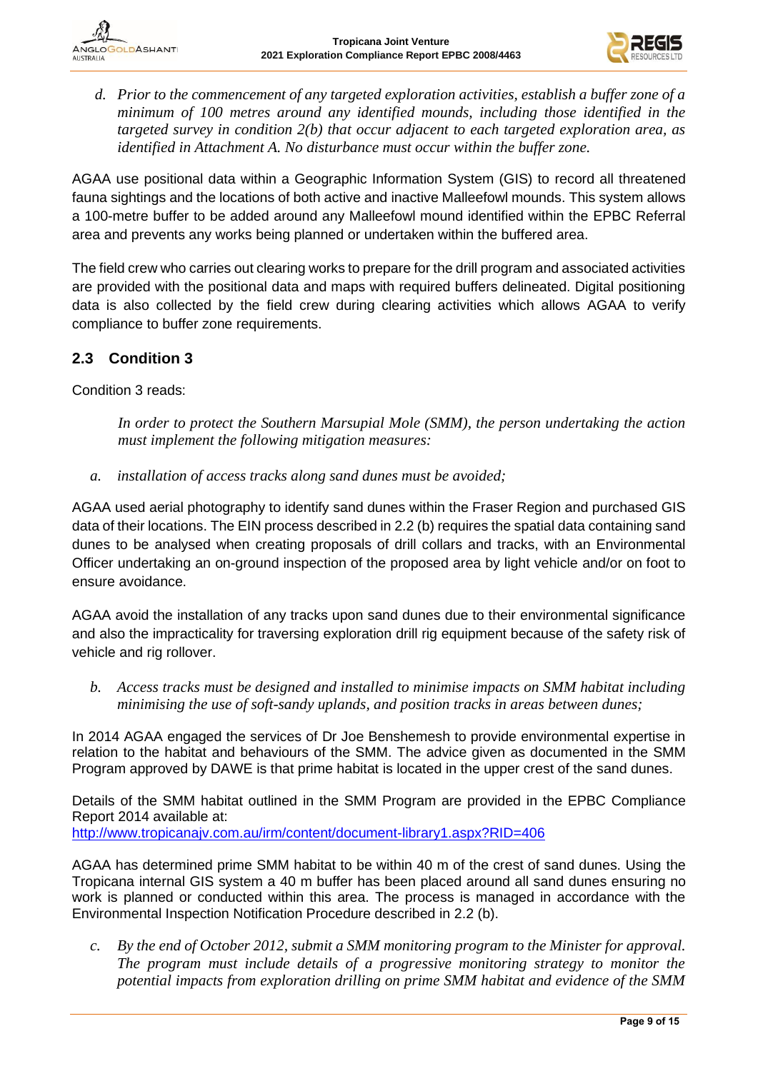

- VGLOG OLDASHANTI **ALISTRALIA** 
	- *d. Prior to the commencement of any targeted exploration activities, establish a buffer zone of a minimum of 100 metres around any identified mounds, including those identified in the targeted survey in condition 2(b) that occur adjacent to each targeted exploration area, as identified in Attachment A. No disturbance must occur within the buffer zone.*

AGAA use positional data within a Geographic Information System (GIS) to record all threatened fauna sightings and the locations of both active and inactive Malleefowl mounds. This system allows a 100-metre buffer to be added around any Malleefowl mound identified within the EPBC Referral area and prevents any works being planned or undertaken within the buffered area.

The field crew who carries out clearing works to prepare for the drill program and associated activities are provided with the positional data and maps with required buffers delineated. Digital positioning data is also collected by the field crew during clearing activities which allows AGAA to verify compliance to buffer zone requirements.

#### **2.3 Condition 3**

Condition 3 reads:

*In order to protect the Southern Marsupial Mole (SMM), the person undertaking the action must implement the following mitigation measures:*

*a. installation of access tracks along sand dunes must be avoided;*

AGAA used aerial photography to identify sand dunes within the Fraser Region and purchased GIS data of their locations. The EIN process described in 2.2 (b) requires the spatial data containing sand dunes to be analysed when creating proposals of drill collars and tracks, with an Environmental Officer undertaking an on-ground inspection of the proposed area by light vehicle and/or on foot to ensure avoidance.

AGAA avoid the installation of any tracks upon sand dunes due to their environmental significance and also the impracticality for traversing exploration drill rig equipment because of the safety risk of vehicle and rig rollover.

*b. Access tracks must be designed and installed to minimise impacts on SMM habitat including minimising the use of soft-sandy uplands, and position tracks in areas between dunes;*

In 2014 AGAA engaged the services of Dr Joe Benshemesh to provide environmental expertise in relation to the habitat and behaviours of the SMM. The advice given as documented in the SMM Program approved by DAWE is that prime habitat is located in the upper crest of the sand dunes.

Details of the SMM habitat outlined in the SMM Program are provided in the EPBC Compliance Report 2014 available at:

<http://www.tropicanajv.com.au/irm/content/document-library1.aspx?RID=406>

AGAA has determined prime SMM habitat to be within 40 m of the crest of sand dunes. Using the Tropicana internal GIS system a 40 m buffer has been placed around all sand dunes ensuring no work is planned or conducted within this area. The process is managed in accordance with the Environmental Inspection Notification Procedure described in 2.2 (b).

*c. By the end of October 2012, submit a SMM monitoring program to the Minister for approval. The program must include details of a progressive monitoring strategy to monitor the potential impacts from exploration drilling on prime SMM habitat and evidence of the SMM*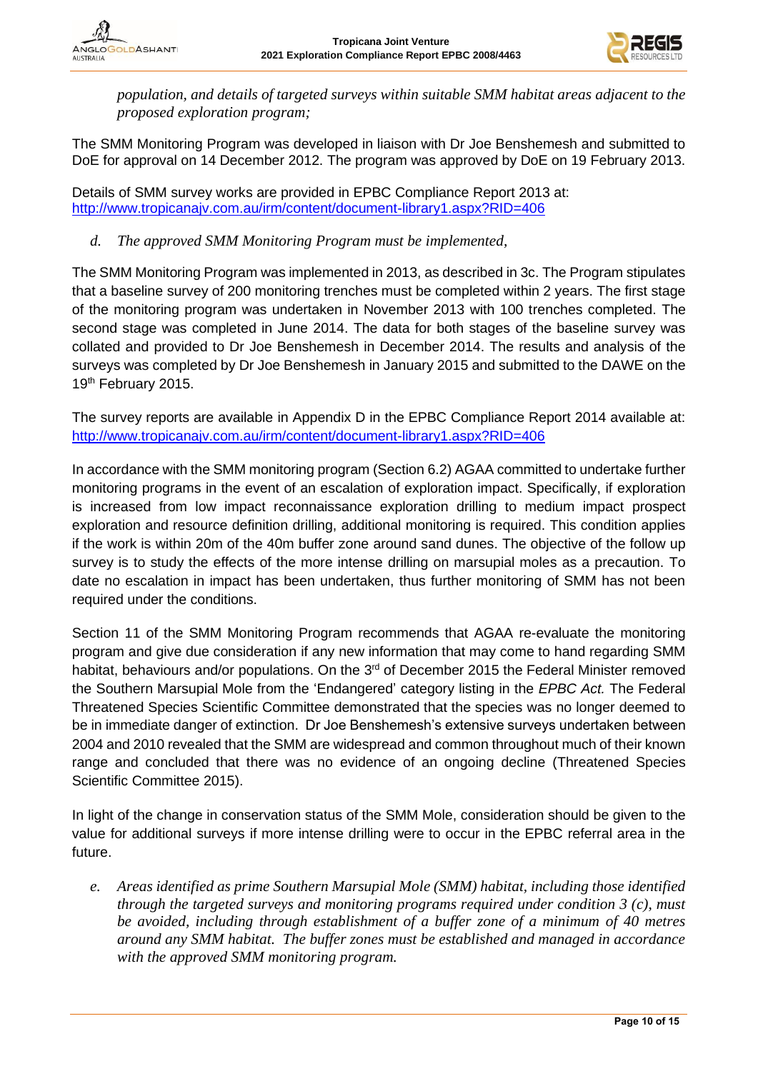

*population, and details of targeted surveys within suitable SMM habitat areas adjacent to the proposed exploration program;*

The SMM Monitoring Program was developed in liaison with Dr Joe Benshemesh and submitted to DoE for approval on 14 December 2012. The program was approved by DoE on 19 February 2013.

Details of SMM survey works are provided in EPBC Compliance Report 2013 at: <http://www.tropicanajv.com.au/irm/content/document-library1.aspx?RID=406>

#### *d. The approved SMM Monitoring Program must be implemented,*

The SMM Monitoring Program was implemented in 2013, as described in 3c. The Program stipulates that a baseline survey of 200 monitoring trenches must be completed within 2 years. The first stage of the monitoring program was undertaken in November 2013 with 100 trenches completed. The second stage was completed in June 2014. The data for both stages of the baseline survey was collated and provided to Dr Joe Benshemesh in December 2014. The results and analysis of the surveys was completed by Dr Joe Benshemesh in January 2015 and submitted to the DAWE on the 19<sup>th</sup> February 2015.

The survey reports are available in Appendix D in the EPBC Compliance Report 2014 available at: <http://www.tropicanajv.com.au/irm/content/document-library1.aspx?RID=406>

In accordance with the SMM monitoring program (Section 6.2) AGAA committed to undertake further monitoring programs in the event of an escalation of exploration impact. Specifically, if exploration is increased from low impact reconnaissance exploration drilling to medium impact prospect exploration and resource definition drilling, additional monitoring is required. This condition applies if the work is within 20m of the 40m buffer zone around sand dunes. The objective of the follow up survey is to study the effects of the more intense drilling on marsupial moles as a precaution. To date no escalation in impact has been undertaken, thus further monitoring of SMM has not been required under the conditions.

Section 11 of the SMM Monitoring Program recommends that AGAA re-evaluate the monitoring program and give due consideration if any new information that may come to hand regarding SMM habitat, behaviours and/or populations. On the 3<sup>rd</sup> of December 2015 the Federal Minister removed the Southern Marsupial Mole from the 'Endangered' category listing in the *EPBC Act.* The Federal Threatened Species Scientific Committee demonstrated that the species was no longer deemed to be in immediate danger of extinction. Dr Joe Benshemesh's extensive surveys undertaken between 2004 and 2010 revealed that the SMM are widespread and common throughout much of their known range and concluded that there was no evidence of an ongoing decline (Threatened Species Scientific Committee 2015).

In light of the change in conservation status of the SMM Mole, consideration should be given to the value for additional surveys if more intense drilling were to occur in the EPBC referral area in the future.

*e. Areas identified as prime Southern Marsupial Mole (SMM) habitat, including those identified through the targeted surveys and monitoring programs required under condition 3 (c), must be avoided, including through establishment of a buffer zone of a minimum of 40 metres around any SMM habitat. The buffer zones must be established and managed in accordance with the approved SMM monitoring program.*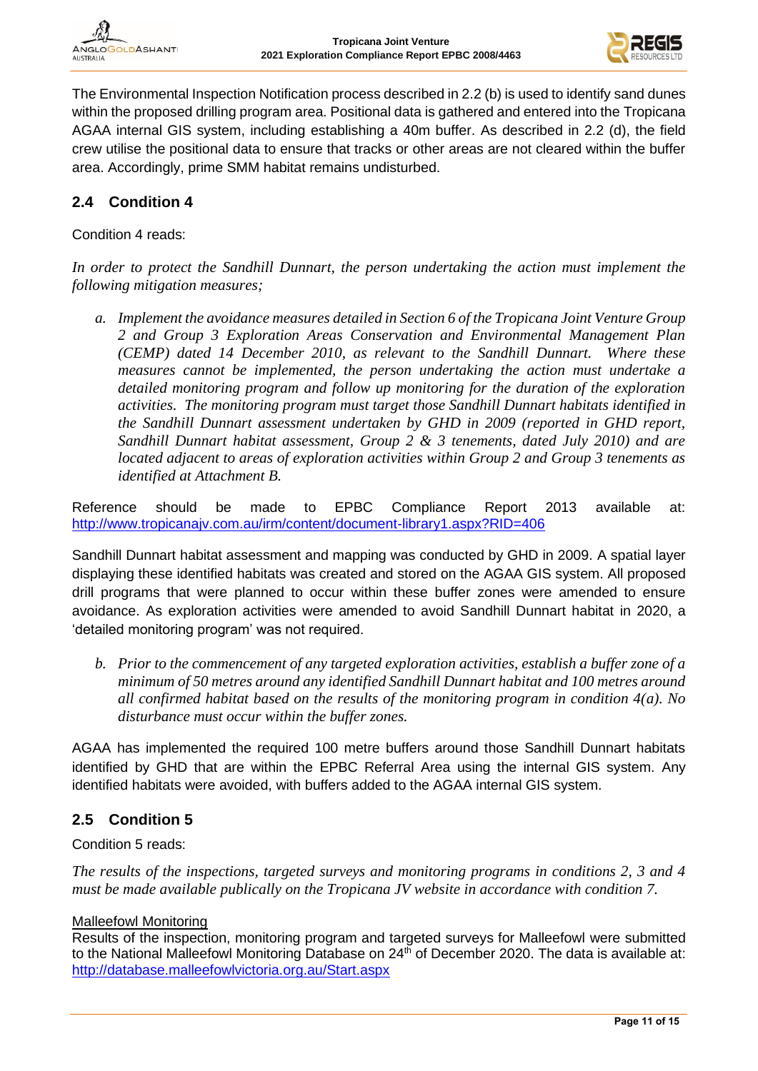

The Environmental Inspection Notification process described in 2.2 (b) is used to identify sand dunes within the proposed drilling program area. Positional data is gathered and entered into the Tropicana AGAA internal GIS system, including establishing a 40m buffer. As described in 2.2 (d), the field crew utilise the positional data to ensure that tracks or other areas are not cleared within the buffer area. Accordingly, prime SMM habitat remains undisturbed.

#### **2.4 Condition 4**

Condition 4 reads:

*In order to protect the Sandhill Dunnart, the person undertaking the action must implement the following mitigation measures;*

*a. Implement the avoidance measures detailed in Section 6 of the Tropicana Joint Venture Group 2 and Group 3 Exploration Areas Conservation and Environmental Management Plan (CEMP) dated 14 December 2010, as relevant to the Sandhill Dunnart. Where these measures cannot be implemented, the person undertaking the action must undertake a detailed monitoring program and follow up monitoring for the duration of the exploration activities. The monitoring program must target those Sandhill Dunnart habitats identified in the Sandhill Dunnart assessment undertaken by GHD in 2009 (reported in GHD report, Sandhill Dunnart habitat assessment, Group 2 & 3 tenements, dated July 2010) and are located adjacent to areas of exploration activities within Group 2 and Group 3 tenements as identified at Attachment B.* 

Reference should be made to EPBC Compliance Report 2013 available at: <http://www.tropicanajv.com.au/irm/content/document-library1.aspx?RID=406>

Sandhill Dunnart habitat assessment and mapping was conducted by GHD in 2009. A spatial layer displaying these identified habitats was created and stored on the AGAA GIS system. All proposed drill programs that were planned to occur within these buffer zones were amended to ensure avoidance. As exploration activities were amended to avoid Sandhill Dunnart habitat in 2020, a 'detailed monitoring program' was not required.

*b. Prior to the commencement of any targeted exploration activities, establish a buffer zone of a minimum of 50 metres around any identified Sandhill Dunnart habitat and 100 metres around all confirmed habitat based on the results of the monitoring program in condition 4(a). No disturbance must occur within the buffer zones.* 

AGAA has implemented the required 100 metre buffers around those Sandhill Dunnart habitats identified by GHD that are within the EPBC Referral Area using the internal GIS system. Any identified habitats were avoided, with buffers added to the AGAA internal GIS system.

# **2.5 Condition 5**

Condition 5 reads:

*The results of the inspections, targeted surveys and monitoring programs in conditions 2, 3 and 4 must be made available publically on the Tropicana JV website in accordance with condition 7.*

#### Malleefowl Monitoring

Results of the inspection, monitoring program and targeted surveys for Malleefowl were submitted to the National Malleefowl Monitoring Database on 24<sup>th</sup> of December 2020. The data is available at: <http://database.malleefowlvictoria.org.au/Start.aspx>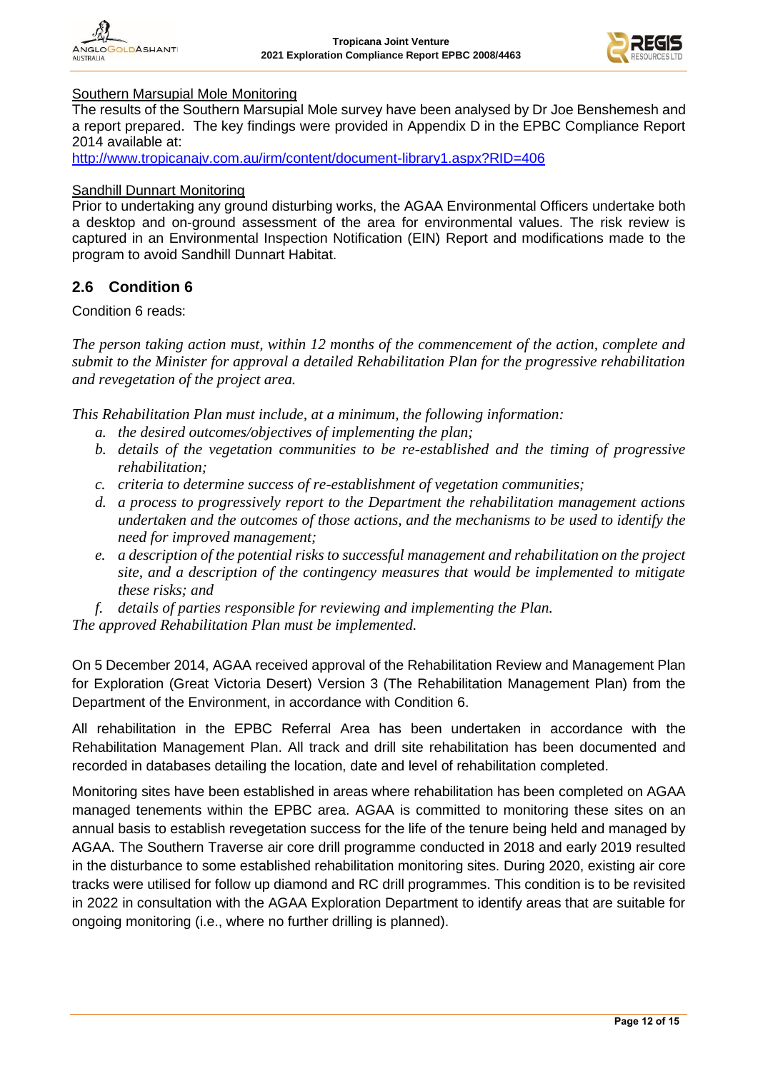![](_page_11_Picture_2.jpeg)

#### Southern Marsupial Mole Monitoring

The results of the Southern Marsupial Mole survey have been analysed by Dr Joe Benshemesh and a report prepared. The key findings were provided in Appendix D in the EPBC Compliance Report 2014 available at:

<http://www.tropicanajv.com.au/irm/content/document-library1.aspx?RID=406>

#### Sandhill Dunnart Monitoring

Prior to undertaking any ground disturbing works, the AGAA Environmental Officers undertake both a desktop and on-ground assessment of the area for environmental values. The risk review is captured in an Environmental Inspection Notification (EIN) Report and modifications made to the program to avoid Sandhill Dunnart Habitat.

#### **2.6 Condition 6**

Condition 6 reads:

*The person taking action must, within 12 months of the commencement of the action, complete and submit to the Minister for approval a detailed Rehabilitation Plan for the progressive rehabilitation and revegetation of the project area.*

*This Rehabilitation Plan must include, at a minimum, the following information:*

- *a. the desired outcomes/objectives of implementing the plan;*
- *b. details of the vegetation communities to be re-established and the timing of progressive rehabilitation;*
- *c. criteria to determine success of re-establishment of vegetation communities;*
- *d. a process to progressively report to the Department the rehabilitation management actions undertaken and the outcomes of those actions, and the mechanisms to be used to identify the need for improved management;*
- *e. a description of the potential risks to successful management and rehabilitation on the project site, and a description of the contingency measures that would be implemented to mitigate these risks; and*
- *f. details of parties responsible for reviewing and implementing the Plan.*

*The approved Rehabilitation Plan must be implemented.*

On 5 December 2014, AGAA received approval of the Rehabilitation Review and Management Plan for Exploration (Great Victoria Desert) Version 3 (The Rehabilitation Management Plan) from the Department of the Environment, in accordance with Condition 6.

All rehabilitation in the EPBC Referral Area has been undertaken in accordance with the Rehabilitation Management Plan. All track and drill site rehabilitation has been documented and recorded in databases detailing the location, date and level of rehabilitation completed.

Monitoring sites have been established in areas where rehabilitation has been completed on AGAA managed tenements within the EPBC area. AGAA is committed to monitoring these sites on an annual basis to establish revegetation success for the life of the tenure being held and managed by AGAA. The Southern Traverse air core drill programme conducted in 2018 and early 2019 resulted in the disturbance to some established rehabilitation monitoring sites. During 2020, existing air core tracks were utilised for follow up diamond and RC drill programmes. This condition is to be revisited in 2022 in consultation with the AGAA Exploration Department to identify areas that are suitable for ongoing monitoring (i.e., where no further drilling is planned).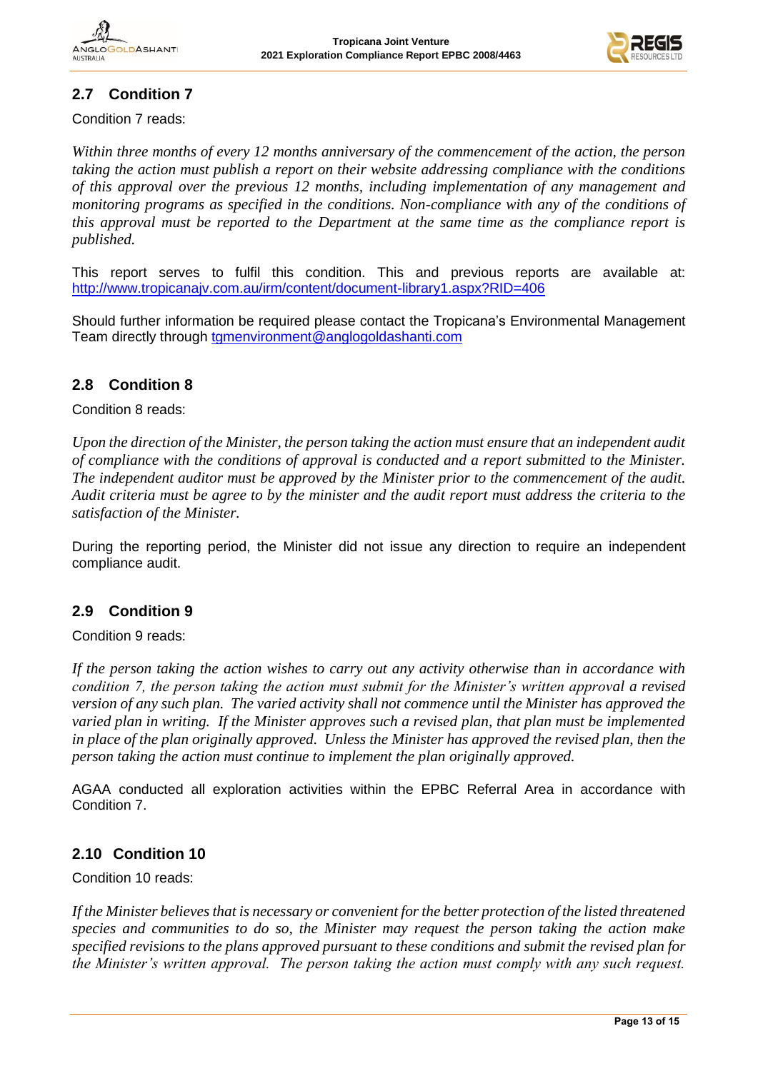![](_page_12_Picture_2.jpeg)

# **2.7 Condition 7**

Condition 7 reads:

*Within three months of every 12 months anniversary of the commencement of the action, the person taking the action must publish a report on their website addressing compliance with the conditions of this approval over the previous 12 months, including implementation of any management and monitoring programs as specified in the conditions. Non-compliance with any of the conditions of this approval must be reported to the Department at the same time as the compliance report is published.* 

This report serves to fulfil this condition. This and previous reports are available at: <http://www.tropicanajv.com.au/irm/content/document-library1.aspx?RID=406>

Should further information be required please contact the Tropicana's Environmental Management Team directly through [tgmenvironment@anglogoldashanti.com](mailto:tgmenvironment@anglogoldashanti.com)

#### **2.8 Condition 8**

Condition 8 reads:

*Upon the direction of the Minister, the person taking the action must ensure that an independent audit of compliance with the conditions of approval is conducted and a report submitted to the Minister. The independent auditor must be approved by the Minister prior to the commencement of the audit. Audit criteria must be agree to by the minister and the audit report must address the criteria to the satisfaction of the Minister.*

During the reporting period, the Minister did not issue any direction to require an independent compliance audit.

# **2.9 Condition 9**

Condition 9 reads:

*If the person taking the action wishes to carry out any activity otherwise than in accordance with condition 7, the person taking the action must submit for the Minister's written approval a revised version of any such plan. The varied activity shall not commence until the Minister has approved the varied plan in writing. If the Minister approves such a revised plan, that plan must be implemented*  in place of the plan originally approved. Unless the Minister has approved the revised plan, then the *person taking the action must continue to implement the plan originally approved.* 

AGAA conducted all exploration activities within the EPBC Referral Area in accordance with Condition 7.

#### **2.10 Condition 10**

Condition 10 reads:

*If the Minister believes that is necessary or convenient for the better protection of the listed threatened species and communities to do so, the Minister may request the person taking the action make specified revisions to the plans approved pursuant to these conditions and submit the revised plan for the Minister's written approval. The person taking the action must comply with any such request.*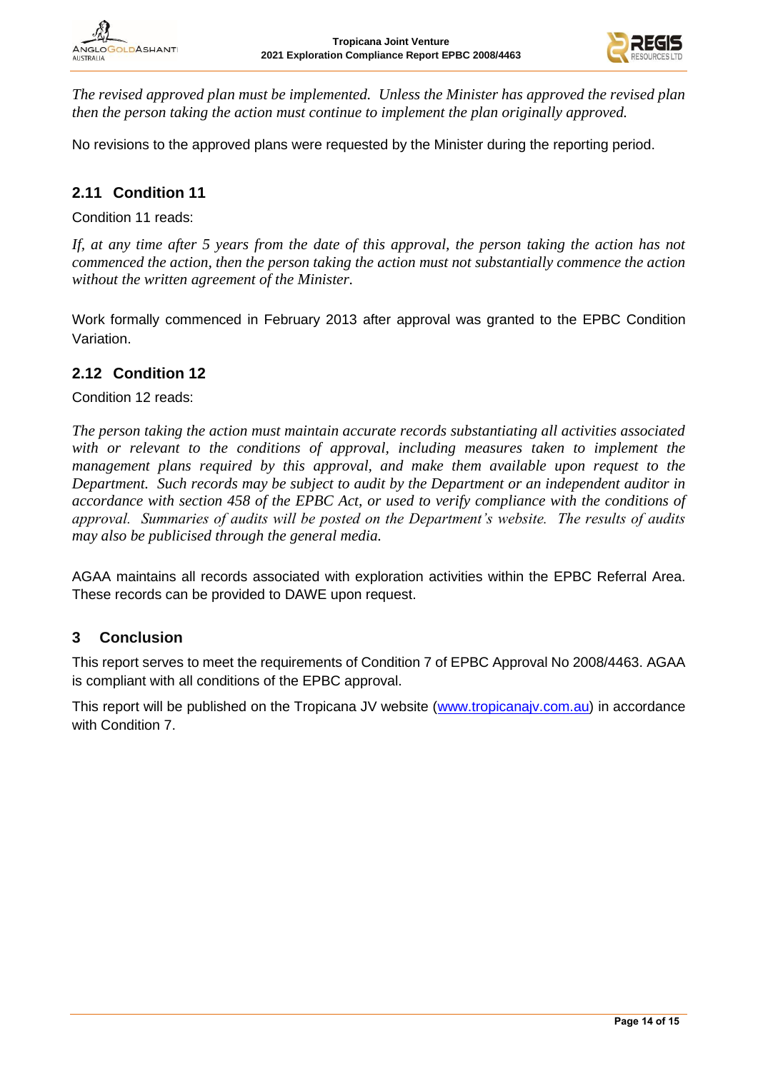![](_page_13_Picture_2.jpeg)

*The revised approved plan must be implemented. Unless the Minister has approved the revised plan then the person taking the action must continue to implement the plan originally approved.*

No revisions to the approved plans were requested by the Minister during the reporting period.

# **2.11 Condition 11**

Condition 11 reads:

*If, at any time after 5 years from the date of this approval, the person taking the action has not commenced the action, then the person taking the action must not substantially commence the action without the written agreement of the Minister.*

Work formally commenced in February 2013 after approval was granted to the EPBC Condition Variation.

#### **2.12 Condition 12**

Condition 12 reads:

*The person taking the action must maintain accurate records substantiating all activities associated*  with or relevant to the conditions of approval, including measures taken to implement the *management plans required by this approval, and make them available upon request to the Department. Such records may be subject to audit by the Department or an independent auditor in accordance with section 458 of the EPBC Act, or used to verify compliance with the conditions of approval. Summaries of audits will be posted on the Department's website. The results of audits may also be publicised through the general media.*

AGAA maintains all records associated with exploration activities within the EPBC Referral Area. These records can be provided to DAWE upon request.

#### **3 Conclusion**

This report serves to meet the requirements of Condition 7 of EPBC Approval No 2008/4463. AGAA is compliant with all conditions of the EPBC approval.

This report will be published on the Tropicana JV website [\(www.tropicanajv.com.au\)](http://www.tropicanajv.com.au/) in accordance with Condition 7.